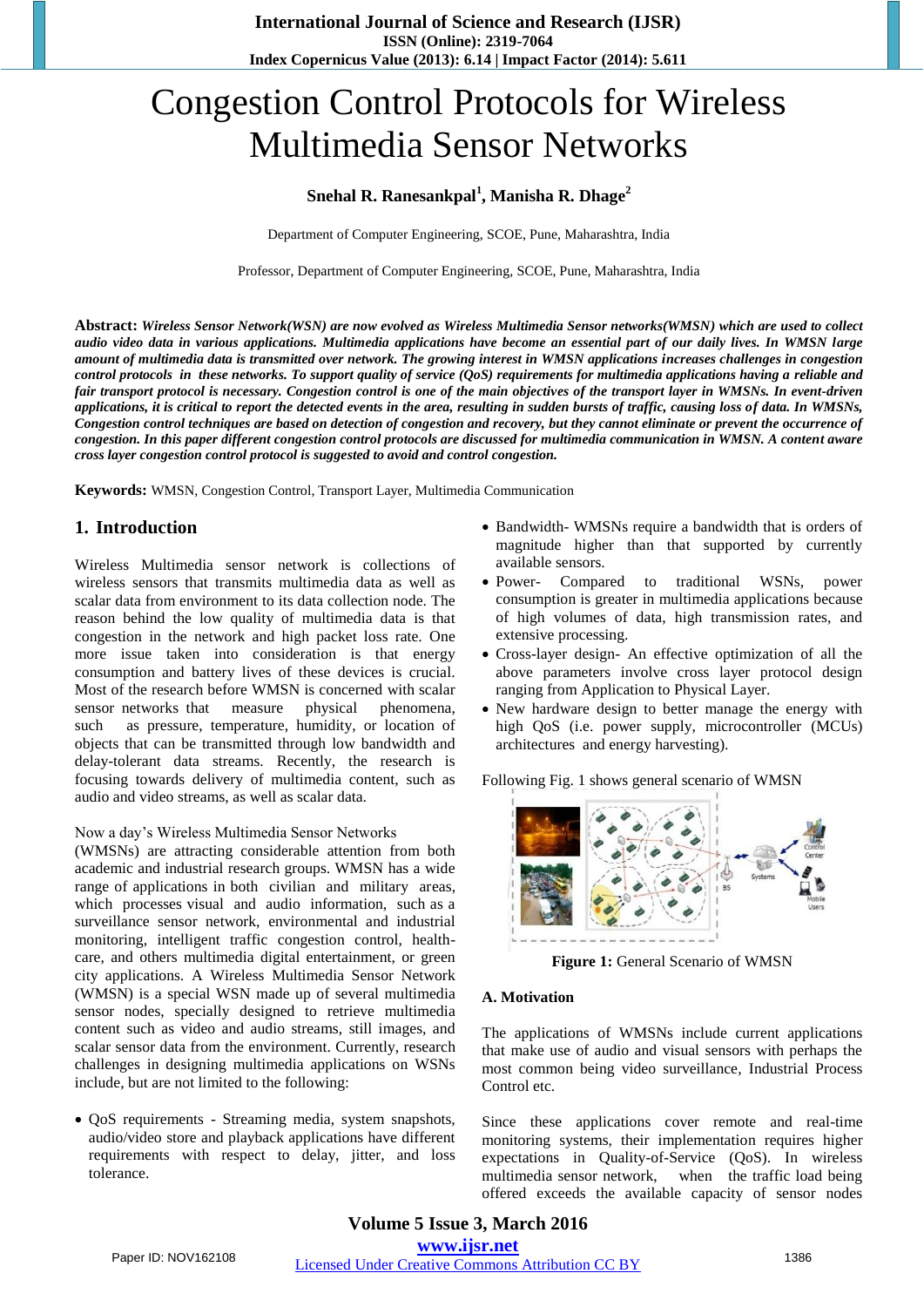# Congestion Control Protocols for Wireless Multimedia Sensor Networks

## **Snehal R. Ranesankpal<sup>1</sup> , Manisha R. Dhage<sup>2</sup>**

Department of Computer Engineering, SCOE, Pune, Maharashtra, India

Professor, Department of Computer Engineering, SCOE, Pune, Maharashtra, India

**Abstract:** *Wireless Sensor Network(WSN) are now evolved as Wireless Multimedia Sensor networks(WMSN) which are used to collect audio video data in various applications. Multimedia applications have become an essential part of our daily lives. In WMSN large amount of multimedia data is transmitted over network. The growing interest in WMSN applications increases challenges in congestion control protocols in these networks. To support quality of service (QoS) requirements for multimedia applications having a reliable and fair transport protocol is necessary. Congestion control is one of the main objectives of the transport layer in WMSNs. In event-driven applications, it is critical to report the detected events in the area, resulting in sudden bursts of traffic, causing loss of data. In WMSNs, Congestion control techniques are based on detection of congestion and recovery, but they cannot eliminate or prevent the occurrence of congestion. In this paper different congestion control protocols are discussed for multimedia communication in WMSN. A content aware cross layer congestion control protocol is suggested to avoid and control congestion.*

**Keywords:** WMSN, Congestion Control, Transport Layer, Multimedia Communication

# **1. Introduction**

Wireless Multimedia sensor network is collections of wireless sensors that transmits multimedia data as well as scalar data from environment to its data collection node. The reason behind the low quality of multimedia data is that congestion in the network and high packet loss rate. One more issue taken into consideration is that energy consumption and battery lives of these devices is crucial. Most of the research before WMSN is concerned with scalar sensor networks that measure physical phenomena, such as pressure, temperature, humidity, or location of objects that can be transmitted through low bandwidth and delay-tolerant data streams. Recently, the research is focusing towards delivery of multimedia content, such as audio and video streams, as well as scalar data.

#### Now a day's Wireless Multimedia Sensor Networks

(WMSNs) are attracting considerable attention from both academic and industrial research groups. WMSN has a wide range of applications in both civilian and military areas, which processes visual and audio information, such as a surveillance sensor network, environmental and industrial monitoring, intelligent traffic congestion control, healthcare, and others multimedia digital entertainment, or green city applications. A Wireless Multimedia Sensor Network (WMSN) is a special WSN made up of several multimedia sensor nodes, specially designed to retrieve multimedia content such as video and audio streams, still images, and scalar sensor data from the environment. Currently, research challenges in designing multimedia applications on WSNs include, but are not limited to the following:

• OoS requirements - Streaming media, system snapshots, audio/video store and playback applications have different requirements with respect to delay, jitter, and loss tolerance.

- Bandwidth- WMSNs require a bandwidth that is orders of magnitude higher than that supported by currently available sensors.
- Power- Compared to traditional WSNs, power consumption is greater in multimedia applications because of high volumes of data, high transmission rates, and extensive processing.
- Cross-layer design- An effective optimization of all the above parameters involve cross layer protocol design ranging from Application to Physical Layer.
- New hardware design to better manage the energy with high QoS (i.e. power supply, microcontroller (MCUs) architectures and energy harvesting).

Following Fig. 1 shows general scenario of WMSN



**Figure 1:** General Scenario of WMSN

#### **A. Motivation**

The applications of WMSNs include current applications that make use of audio and visual sensors with perhaps the most common being video surveillance*,* Industrial Process Control etc.

Since these applications cover remote and real-time monitoring systems, their implementation requires higher expectations in Quality-of-Service (QoS). In wireless multimedia sensor network, when the traffic load being offered exceeds the available capacity of sensor nodes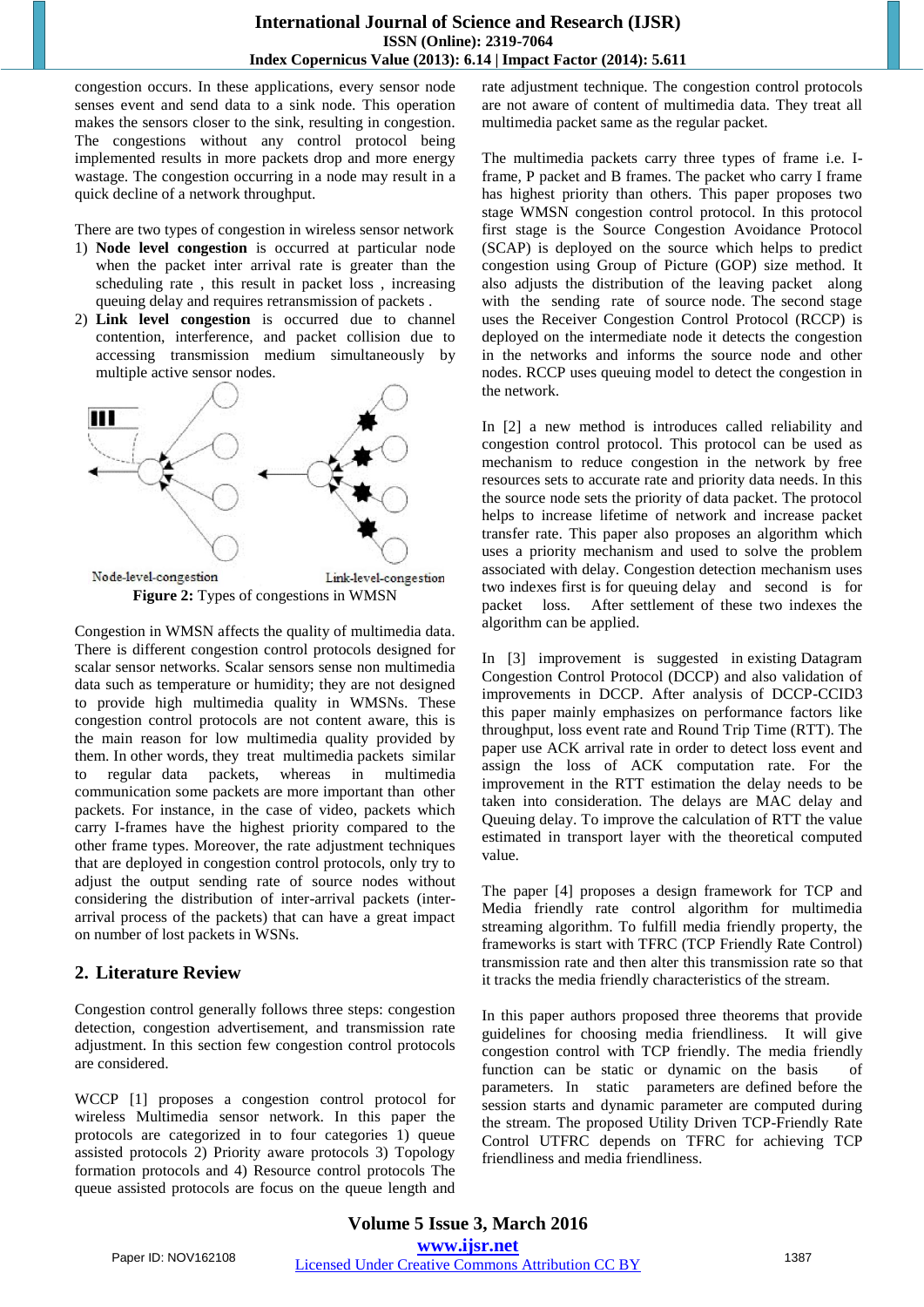## **International Journal of Science and Research (IJSR) ISSN (Online): 2319-7064 Index Copernicus Value (2013): 6.14 | Impact Factor (2014): 5.611**

congestion occurs. In these applications, every sensor node senses event and send data to a sink node. This operation makes the sensors closer to the sink, resulting in congestion. The congestions without any control protocol being implemented results in more packets drop and more energy wastage. The congestion occurring in a node may result in a quick decline of a network throughput.

There are two types of congestion in wireless sensor network

- 1) **Node level congestion** is occurred at particular node when the packet inter arrival rate is greater than the scheduling rate , this result in packet loss , increasing queuing delay and requires retransmission of packets .
- 2) **Link level congestion** is occurred due to channel contention, interference, and packet collision due to accessing transmission medium simultaneously by multiple active sensor nodes.



Congestion in WMSN affects the quality of multimedia data. There is different congestion control protocols designed for scalar sensor networks. Scalar sensors sense non multimedia data such as temperature or humidity; they are not designed to provide high multimedia quality in WMSNs. These congestion control protocols are not content aware, this is the main reason for low multimedia quality provided by them. In other words, they treat multimedia packets similar to regular data packets, whereas in multimedia communication some packets are more important than other packets. For instance, in the case of video, packets which carry I-frames have the highest priority compared to the other frame types. Moreover, the rate adjustment techniques that are deployed in congestion control protocols, only try to adjust the output sending rate of source nodes without considering the distribution of inter-arrival packets (interarrival process of the packets) that can have a great impact on number of lost packets in WSNs.

# **2. Literature Review**

Congestion control generally follows three steps: congestion detection, congestion advertisement, and transmission rate adjustment. In this section few congestion control protocols are considered.

WCCP [1] proposes a congestion control protocol for wireless Multimedia sensor network. In this paper the protocols are categorized in to four categories 1) queue assisted protocols 2) Priority aware protocols 3) Topology formation protocols and 4) Resource control protocols The queue assisted protocols are focus on the queue length and

rate adjustment technique. The congestion control protocols are not aware of content of multimedia data. They treat all multimedia packet same as the regular packet.

The multimedia packets carry three types of frame i.e. Iframe, P packet and B frames. The packet who carry I frame has highest priority than others. This paper proposes two stage WMSN congestion control protocol. In this protocol first stage is the Source Congestion Avoidance Protocol (SCAP) is deployed on the source which helps to predict congestion using Group of Picture (GOP) size method. It also adjusts the distribution of the leaving packet along with the sending rate of source node. The second stage uses the Receiver Congestion Control Protocol (RCCP) is deployed on the intermediate node it detects the congestion in the networks and informs the source node and other nodes. RCCP uses queuing model to detect the congestion in the network.

In [2] a new method is introduces called reliability and congestion control protocol. This protocol can be used as mechanism to reduce congestion in the network by free resources sets to accurate rate and priority data needs. In this the source node sets the priority of data packet. The protocol helps to increase lifetime of network and increase packet transfer rate. This paper also proposes an algorithm which uses a priority mechanism and used to solve the problem associated with delay. Congestion detection mechanism uses two indexes first is for queuing delay and second is for packet loss. After settlement of these two indexes the algorithm can be applied.

In [3] improvement is suggested in existing Datagram Congestion Control Protocol (DCCP) and also validation of improvements in DCCP. After analysis of DCCP-CCID3 this paper mainly emphasizes on performance factors like throughput, loss event rate and Round Trip Time (RTT). The paper use ACK arrival rate in order to detect loss event and assign the loss of ACK computation rate. For the improvement in the RTT estimation the delay needs to be taken into consideration. The delays are MAC delay and Queuing delay. To improve the calculation of RTT the value estimated in transport layer with the theoretical computed value.

The paper [4] proposes a design framework for TCP and Media friendly rate control algorithm for multimedia streaming algorithm. To fulfill media friendly property, the frameworks is start with TFRC (TCP Friendly Rate Control) transmission rate and then alter this transmission rate so that it tracks the media friendly characteristics of the stream.

In this paper authors proposed three theorems that provide guidelines for choosing media friendliness. It will give congestion control with TCP friendly. The media friendly function can be static or dynamic on the basis of parameters. In static parameters are defined before the session starts and dynamic parameter are computed during the stream. The proposed Utility Driven TCP-Friendly Rate Control UTFRC depends on TFRC for achieving TCP friendliness and media friendliness.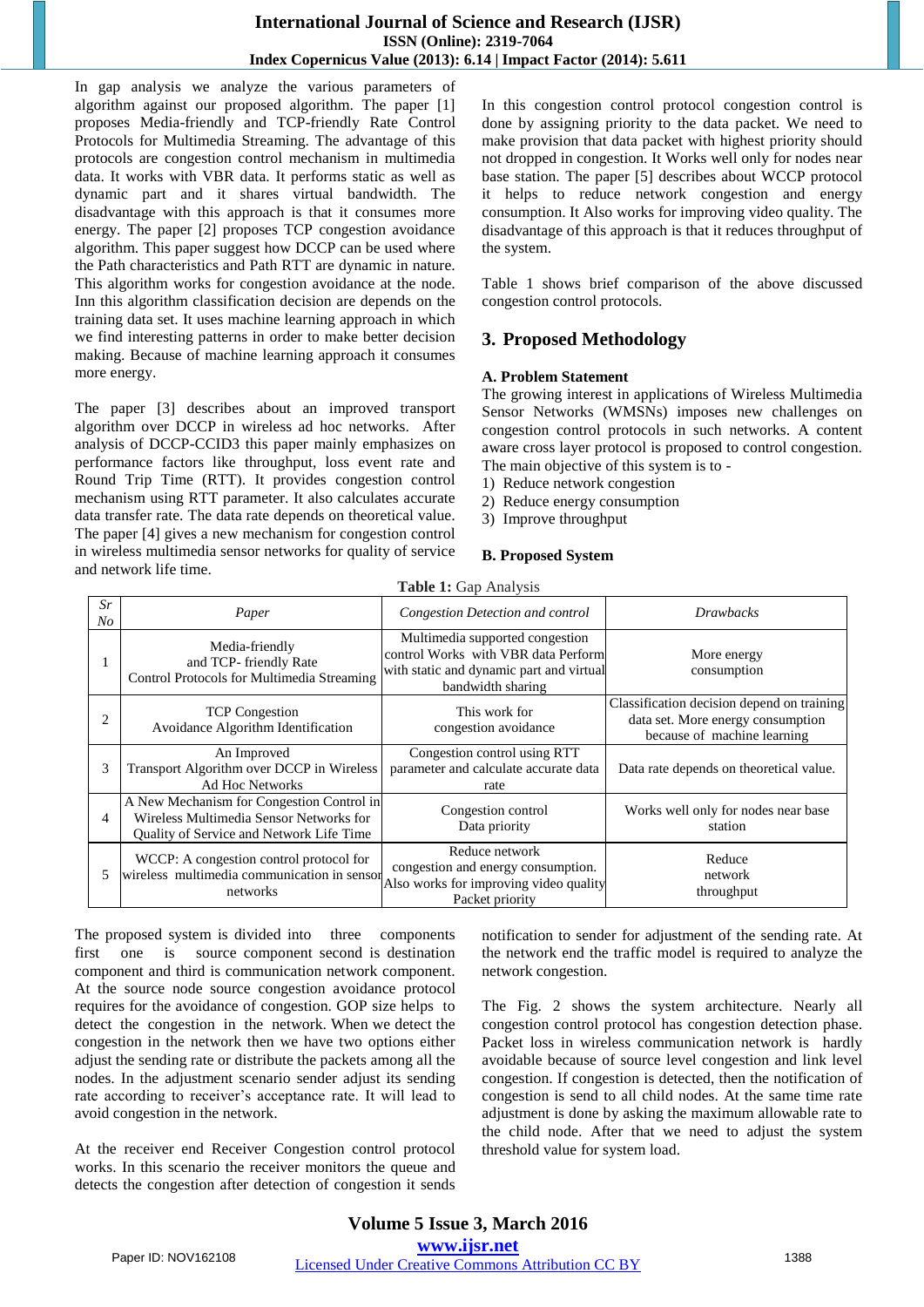In gap analysis we analyze the various parameters of algorithm against our proposed algorithm. The paper [1] proposes Media-friendly and TCP-friendly Rate Control Protocols for Multimedia Streaming. The advantage of this protocols are congestion control mechanism in multimedia data. It works with VBR data. It performs static as well as dynamic part and it shares virtual bandwidth. The disadvantage with this approach is that it consumes more energy. The paper [2] proposes TCP congestion avoidance algorithm. This paper suggest how DCCP can be used where the Path characteristics and Path RTT are dynamic in nature. This algorithm works for congestion avoidance at the node. Inn this algorithm classification decision are depends on the training data set. It uses machine learning approach in which we find interesting patterns in order to make better decision making. Because of machine learning approach it consumes more energy.

The paper [3] describes about an improved transport algorithm over DCCP in wireless ad hoc networks. After analysis of DCCP-CCID3 this paper mainly emphasizes on performance factors like throughput, loss event rate and Round Trip Time (RTT). It provides congestion control mechanism using RTT parameter. It also calculates accurate data transfer rate. The data rate depends on theoretical value. The paper [4] gives a new mechanism for congestion control in wireless multimedia sensor networks for quality of service and network life time.

In this congestion control protocol congestion control is done by assigning priority to the data packet. We need to make provision that data packet with highest priority should not dropped in congestion. It Works well only for nodes near base station. The paper [5] describes about WCCP protocol it helps to reduce network congestion and energy consumption. It Also works for improving video quality. The disadvantage of this approach is that it reduces throughput of the system.

Table 1 shows brief comparison of the above discussed congestion control protocols.

# **3. Proposed Methodology**

## **A. Problem Statement**

The growing interest in applications of Wireless Multimedia Sensor Networks (WMSNs) imposes new challenges on congestion control protocols in such networks. A content aware cross layer protocol is proposed to control congestion. The main objective of this system is to -

- 1) Reduce network congestion
- 2) Reduce energy consumption
- 3) Improve throughput

## **B. Proposed System**

| Table 1: Gap Analysis |                                                                                                                                  |                                                                                                                                         |                                                                                                                |
|-----------------------|----------------------------------------------------------------------------------------------------------------------------------|-----------------------------------------------------------------------------------------------------------------------------------------|----------------------------------------------------------------------------------------------------------------|
| Sr<br>$N_{O}$         | Paper                                                                                                                            | Congestion Detection and control                                                                                                        | <b>Drawbacks</b>                                                                                               |
|                       | Media-friendly<br>and TCP- friendly Rate<br>Control Protocols for Multimedia Streaming                                           | Multimedia supported congestion<br>control Works with VBR data Perform<br>with static and dynamic part and virtual<br>bandwidth sharing | More energy<br>consumption                                                                                     |
| 2                     | <b>TCP</b> Congestion<br>Avoidance Algorithm Identification                                                                      | This work for<br>congestion avoidance                                                                                                   | Classification decision depend on training<br>data set. More energy consumption<br>because of machine learning |
| 3                     | An Improved<br>Transport Algorithm over DCCP in Wireless<br><b>Ad Hoc Networks</b>                                               | Congestion control using RTT<br>parameter and calculate accurate data<br>rate                                                           | Data rate depends on theoretical value.                                                                        |
| $\overline{4}$        | A New Mechanism for Congestion Control in<br>Wireless Multimedia Sensor Networks for<br>Quality of Service and Network Life Time | Congestion control<br>Data priority                                                                                                     | Works well only for nodes near base<br>station                                                                 |
| 5                     | WCCP: A congestion control protocol for<br>wireless multimedia communication in sensor<br>networks                               | Reduce network<br>congestion and energy consumption.<br>Also works for improving video quality<br>Packet priority                       | Reduce<br>network<br>throughput                                                                                |

The proposed system is divided into three components first one is source component second is destination component and third is communication network component. At the source node source congestion avoidance protocol requires for the avoidance of congestion. GOP size helps to detect the congestion in the network. When we detect the congestion in the network then we have two options either adjust the sending rate or distribute the packets among all the nodes. In the adjustment scenario sender adjust its sending rate according to receiver's acceptance rate. It will lead to avoid congestion in the network.

At the receiver end Receiver Congestion control protocol works. In this scenario the receiver monitors the queue and detects the congestion after detection of congestion it sends notification to sender for adjustment of the sending rate. At the network end the traffic model is required to analyze the network congestion.

The Fig. 2 shows the system architecture. Nearly all congestion control protocol has congestion detection phase. Packet loss in wireless communication network is hardly avoidable because of source level congestion and link level congestion. If congestion is detected, then the notification of congestion is send to all child nodes. At the same time rate adjustment is done by asking the maximum allowable rate to the child node. After that we need to adjust the system threshold value for system load.